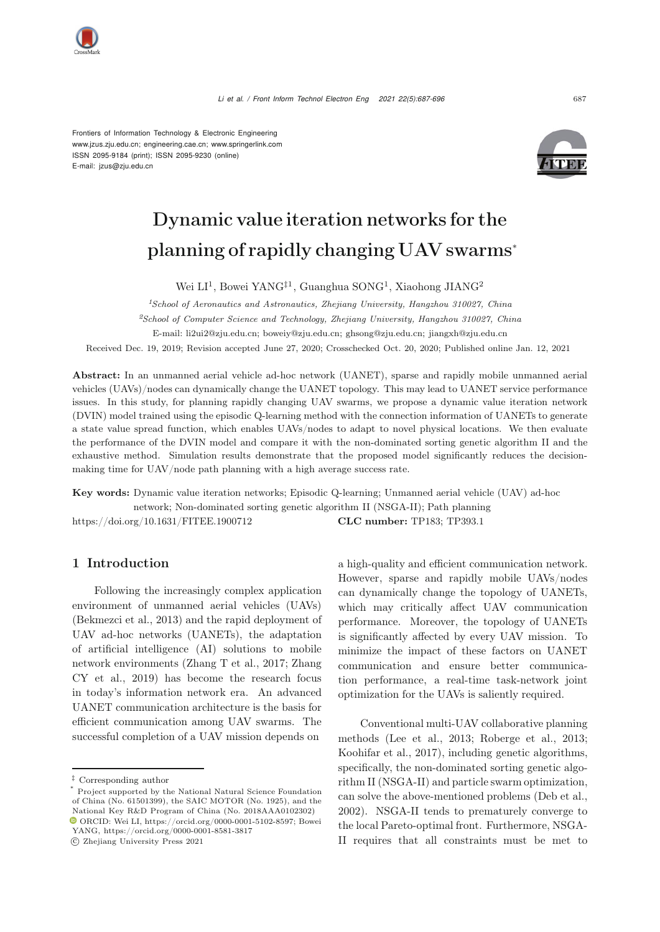

Frontiers of Information Technology & Electronic Engineering [www.jzus.zju.edu.cn;](www.jzus.zju.edu.cn) [engineering.cae.cn;](engineering.cae.cn)<www.springerlink.com> ISSN 2095-9184 (print); ISSN 2095-9230 (online) E-mail: jzus@zju.edu.cn



# Dynamic value iteration networks for the planning of rapidly changing UAV swarms<sup>∗</sup>

Wei LI<sup>1</sup>, Bowei YANG<sup>‡1</sup>, Guanghua SONG<sup>1</sup>, Xiaohong JIANG<sup>2</sup>

*<sup>1</sup>School of Aeronautics and Astronautics, Zhejiang University, Hangzhou 310027, China*

*<sup>2</sup>School of Computer Science and Technology, Zhejiang University, Hangzhou 310027, China*

E-mail: li2ui2@zju.edu.cn; boweiy@zju.edu.cn; ghsong@zju.edu.cn; jiangxh@zju.edu.cn

Received Dec. 19, 2019; Revision accepted June 27, 2020; Crosschecked Oct. 20, 2020; Published online Jan. 12, 2021

Abstract: In an unmanned aerial vehicle ad-hoc network (UANET), sparse and rapidly mobile unmanned aerial vehicles (UAVs)/nodes can dynamically change the UANET topology. This may lead to UANET service performance issues. In this study, for planning rapidly changing UAV swarms, we propose a dynamic value iteration network (DVIN) model trained using the episodic Q-learning method with the connection information of UANETs to generate a state value spread function, which enables UAVs/nodes to adapt to novel physical locations. We then evaluate the performance of the DVIN model and compare it with the non-dominated sorting genetic algorithm II and the exhaustive method. Simulation results demonstrate that the proposed model significantly reduces the decisionmaking time for UAV/node path planning with a high average success rate.

Key words: Dynamic value iteration networks; Episodic Q-learning; Unmanned aerial vehicle (UAV) ad-hoc network; Non-dominated sorting genetic algorithm II (NSGA-II); Path planning https://doi.org/10.1631/FITEE.1900712 CLC number: TP183; TP393.1

# 1 Introduction

Following the increasingly complex application environment of unmanned aerial vehicles (UAVs) [\(Bekmezci et al.](#page-8-0), [2013\)](#page-8-0) and the rapid deployment of UAV ad-hoc networks (UANETs), the adaptation of artificial intelligence (AI) solutions to mobile network e[nvironments](#page-9-1) [\(Zhang T et al.](#page-9-0)[,](#page-9-1) [2017](#page-9-0)[;](#page-9-1) Zhang CY et al., [2019](#page-9-1)) has become the research focus in today's information network era. An advanced UANET communication architecture is the basis for efficient communication among UAV swarms. The successful completion of a UAV mission depends on

c Zhejiang University Press 2021

a high-quality and efficient communication network. However, sparse and rapidly mobile UAVs/nodes can dynamically change the topology of UANETs, which may critically affect UAV communication performance. Moreover, the topology of UANETs is significantly affected by every UAV mission. To minimize the impact of these factors on UANET communication and ensure better communication performance, a real-time task-network joint optimization for the UAVs is saliently required.

Conventional multi-UAV collaborative planning methods [\(Lee et al., 2013](#page-9-2); [Roberge et al.](#page-9-3), [2013;](#page-9-3) [Koohifar et al., 2017\)](#page-8-1), including genetic algorithms, specifically, the non-dominated sorting genetic algorithm II (NSGA-II) and particle swarm optimization, can solve the above-mentioned problems [\(Deb et al.](#page-8-2), [2002](#page-8-2)). NSGA-II tends to prematurely converge to the local Pareto-optimal front. Furthermore, NSGA-II requires that all constraints must be met to

<sup>‡</sup> Corresponding author

Project supported by the National Natural Science Foundation of China (No. 61501399), the SAIC MOTOR (No. 1925), and the National Key R&D Program of China (No. 2018AAA0102302) ORCID: Wei LI, https://orcid.org/0000-0001-5102-8597; Bowei

YANG, https://orcid.org/0000-0001-8581-3817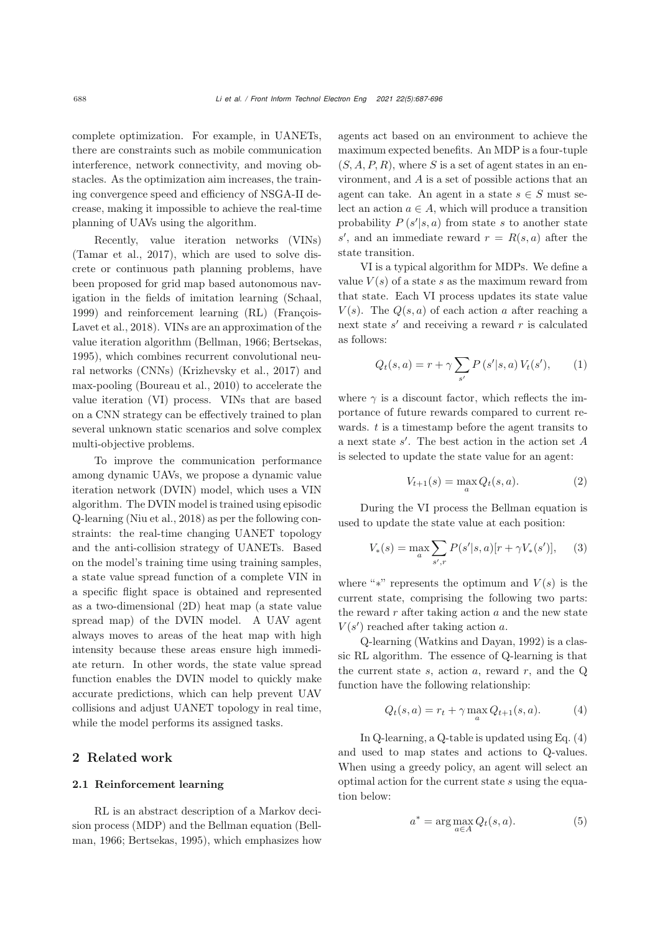complete optimization. For example, in UANETs, there are constraints such as mobile communication interference, network connectivity, and moving obstacles. As the optimization aim increases, the training convergence speed and efficiency of NSGA-II decrease, making it impossible to achieve the real-time planning of UAVs using the algorithm.

Recently, value iteration networks (VINs) [\(Tamar et al., 2017\)](#page-9-4), which are used to solve discrete or continuous path planning problems, have been proposed for grid map based autonomous navigation in the fields of imitation learning [\(Schaal,](#page-9-5) [1999](#page-9-5)) and [reinforcement](#page-8-3) [learning](#page-8-3) [\(RL\)](#page-8-3) [\(](#page-8-3)François-Lavet et al., [2018\)](#page-8-3). VINs are an approximation of the value iteration algorithm [\(Bellman](#page-8-4), [1966;](#page-8-4) [Bertsekas,](#page-8-5) [1995](#page-8-5)), which combines recurrent convolutional neural networks (CNNs) [\(Krizhevsky et al., 2017\)](#page-9-6) and max-pooling [\(Boureau et al., 2010\)](#page-8-6) to accelerate the value iteration (VI) process. VINs that are based on a CNN strategy can be effectively trained to plan several unknown static scenarios and solve complex multi-objective problems.

To improve the communication performance among dynamic UAVs, we propose a dynamic value iteration network (DVIN) model, which uses a VIN algorithm. The DVIN model is trained using episodic Q-learning [\(Niu et al.](#page-9-7), [2018](#page-9-7)) as per the following constraints: the real-time changing UANET topology and the anti-collision strategy of UANETs. Based on the model's training time using training samples, a state value spread function of a complete VIN in a specific flight space is obtained and represented as a two-dimensional (2D) heat map (a state value spread map) of the DVIN model. A UAV agent always moves to areas of the heat map with high intensity because these areas ensure high immediate return. In other words, the state value spread function enables the DVIN model to quickly make accurate predictions, which can help prevent UAV collisions and adjust UANET topology in real time, while the model performs its assigned tasks.

### 2 Related work

#### 2.1 Reinforcement learning

RL is an abstract description of a Markov decision [process](#page-8-4) [\(MDP\)](#page-8-4) [and](#page-8-4) [the](#page-8-4) [Bellman](#page-8-4) [equation](#page-8-4) [\(](#page-8-4)Bellman, [1966](#page-8-4); [Bertsekas](#page-8-5), [1995](#page-8-5)), which emphasizes how agents act based on an environment to achieve the maximum expected benefits. An MDP is a four-tuple  $(S, A, P, R)$ , where S is a set of agent states in an environment, and A is a set of possible actions that an agent can take. An agent in a state  $s \in S$  must select an action  $a \in A$ , which will produce a transition probability  $P(s'|s,a)$  from state s to another state s', and an immediate reward  $r = R(s, a)$  after the state transition.

VI is a typical algorithm for MDPs. We define a value  $V(s)$  of a state s as the maximum reward from that state. Each VI process updates its state value  $V(s)$ . The  $Q(s, a)$  of each action a after reaching a next state  $s'$  and receiving a reward r is calculated as follows:

<span id="page-1-1"></span>
$$
Q_t(s, a) = r + \gamma \sum_{s'} P(s'|s, a) V_t(s'), \qquad (1)
$$

where  $\gamma$  is a discount factor, which reflects the importance of future rewards compared to current rewards.  $t$  is a timestamp before the agent transits to a next state  $s'$ . The best action in the action set  $A$ is selected to update the state value for an agent:

<span id="page-1-2"></span>
$$
V_{t+1}(s) = \max_{a} Q_t(s, a).
$$
 (2)

During the VI process the Bellman equation is used to update the state value at each position:

$$
V_*(s) = \max_{a} \sum_{s',r} P(s'|s,a)[r + \gamma V_*(s')], \quad (3)
$$

where "\*" represents the optimum and  $V(s)$  is the current state, comprising the following two parts: the reward  $r$  after taking action  $a$  and the new state  $V(s')$  reached after taking action a.

Q-learning [\(Watkins and Dayan](#page-9-8), [1992\)](#page-9-8) is a classic RL algorithm. The essence of Q-learning is that the current state  $s$ , action  $a$ , reward  $r$ , and the  $Q$ function have the following relationship:

<span id="page-1-0"></span>
$$
Q_t(s, a) = r_t + \gamma \max_{a} Q_{t+1}(s, a).
$$
 (4)

In Q-learning, a Q-table is updated using Eq. [\(4\)](#page-1-0) and used to map states and actions to Q-values. When using a greedy policy, an agent will select an optimal action for the current state s using the equation below:

<span id="page-1-3"></span>
$$
a^* = \arg\max_{a \in A} Q_t(s, a). \tag{5}
$$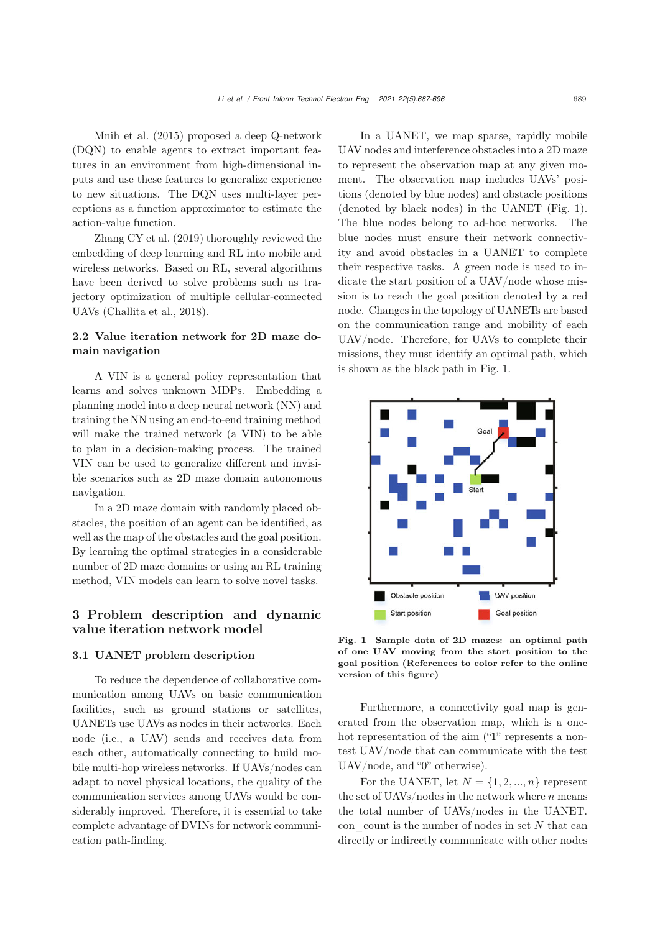Mnih et al. [\(2015\)](#page-9-9) proposed a deep Q-network (DQN) to enable agents to extract important features in an environment from high-dimensional inputs and use these features to generalize experience to new situations. The DQN uses multi-layer perceptions as a function approximator to estimate the [action-value](#page-9-1) [function](#page-9-1).

Zhang CY et al. [\(2019\)](#page-9-1) thoroughly reviewed the embedding of deep learning and RL into mobile and wireless networks. Based on RL, several algorithms have been derived to solve problems such as trajectory optimization of multiple cellular-connected UAVs [\(Challita et al.](#page-8-7), [2018](#page-8-7)).

## 2.2 Value iteration network for 2D maze domain navigation

A VIN is a general policy representation that learns and solves unknown MDPs. Embedding a planning model into a deep neural network (NN) and training the NN using an end-to-end training method will make the trained network (a VIN) to be able to plan in a decision-making process. The trained VIN can be used to generalize different and invisible scenarios such as 2D maze domain autonomous navigation.

In a 2D maze domain with randomly placed obstacles, the position of an agent can be identified, as well as the map of the obstacles and the goal position. By learning the optimal strategies in a considerable number of 2D maze domains or using an RL training method, VIN models can learn to solve novel tasks.

# 3 Problem description and dynamic value iteration network model

#### 3.1 UANET problem description

To reduce the dependence of collaborative communication among UAVs on basic communication facilities, such as ground stations or satellites, UANETs use UAVs as nodes in their networks. Each node (i.e., a UAV) sends and receives data from each other, automatically connecting to build mobile multi-hop wireless networks. If UAVs/nodes can adapt to novel physical locations, the quality of the communication services among UAVs would be considerably improved. Therefore, it is essential to take complete advantage of DVINs for network communication path-finding.

In a UANET, we map sparse, rapidly mobile UAV nodes and interference obstacles into a 2D maze to represent the observation map at any given moment. The observation map includes UAVs' positions (denoted by blue nodes) and obstacle positions (denoted by black nodes) in the UANET (Fig. [1\)](#page-2-0). The blue nodes belong to ad-hoc networks. The blue nodes must ensure their network connectivity and avoid obstacles in a UANET to complete their respective tasks. A green node is used to indicate the start position of a UAV/node whose mission is to reach the goal position denoted by a red node. Changes in the topology of UANETs are based on the communication range and mobility of each UAV/node. Therefore, for UAVs to complete their missions, they must identify an optimal path, which is shown as the black path in Fig. [1.](#page-2-0)



<span id="page-2-0"></span>Fig. 1 Sample data of 2D mazes: an optimal path of one UAV moving from the start position to the goal position (References to color refer to the online version of this figure)

Furthermore, a connectivity goal map is generated from the observation map, which is a onehot representation of the aim ("1" represents a nontest UAV/node that can communicate with the test UAV/node, and "0" otherwise).

For the UANET, let  $N = \{1, 2, ..., n\}$  represent the set of UAVs/nodes in the network where  $n$  means the total number of UAVs/nodes in the UANET. con count is the number of nodes in set  $N$  that can directly or indirectly communicate with other nodes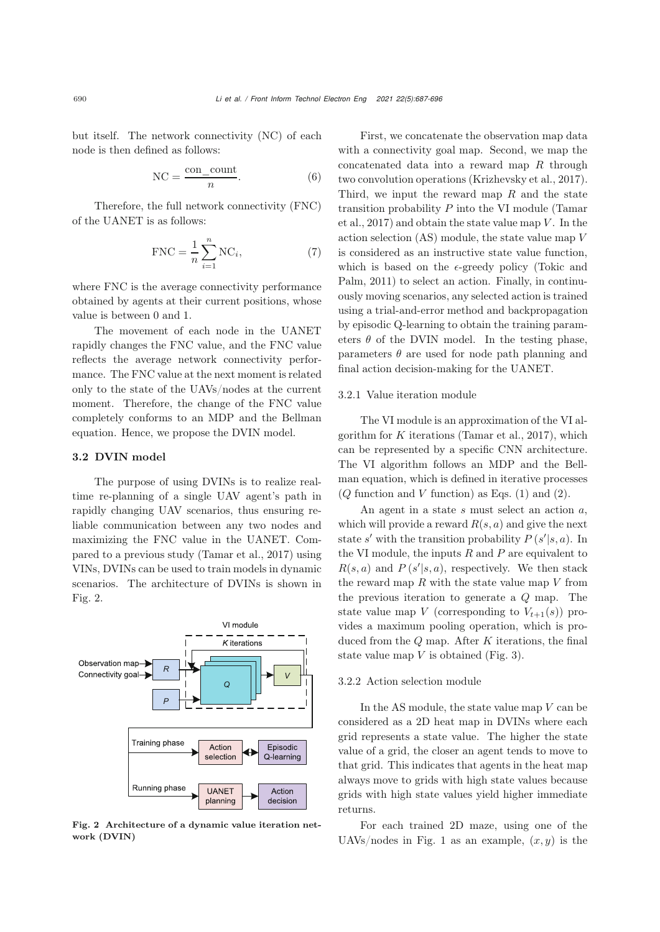but itself. The network connectivity (NC) of each node is then defined as follows:

$$
NC = \frac{con\_count}{n}.
$$
 (6)

Therefore, the full network connectivity (FNC) of the UANET is as follows:

$$
FNC = \frac{1}{n} \sum_{i=1}^{n} NC_i,
$$
 (7)

where FNC is the average connectivity performance obtained by agents at their current positions, whose value is between 0 and 1.

The movement of each node in the UANET rapidly changes the FNC value, and the FNC value reflects the average network connectivity performance. The FNC value at the next moment is related only to the state of the UAVs/nodes at the current moment. Therefore, the change of the FNC value completely conforms to an MDP and the Bellman equation. Hence, we propose the DVIN model.

## 3.2 DVIN model

The purpose of using DVINs is to realize realtime re-planning of a single UAV agent's path in rapidly changing UAV scenarios, thus ensuring reliable communication between any two nodes and maximizing the FNC value in the UANET. Compared to a previous study [\(Tamar et al.](#page-9-4), [2017\)](#page-9-4) using VINs, DVINs can be used to train models in dynamic scenarios. The architecture of DVINs is shown in Fig. [2.](#page-3-0)



<span id="page-3-0"></span>Fig. 2 Architecture of a dynamic value iteration network (DVIN)

First, we concatenate the observation map data with a connectivity goal map. Second, we map the concatenated data into a reward map R through two convolution operations [\(Krizhevsky et al.](#page-9-6), [2017\)](#page-9-6). Third, we input the reward map  $R$  and the state transition probability  $P$  [into](#page-9-4) [the](#page-9-4) [VI](#page-9-4) [module](#page-9-4) [\(](#page-9-4)Tamar et al., [2017](#page-9-4)) and obtain the state value map  $V$ . In the action selection (AS) module, the state value map V is considered as an instructive state value function, w[h](#page-9-10)ich [is](#page-9-10) [based](#page-9-10) [on](#page-9-10) [the](#page-9-10)  $\epsilon$ -greedy policy (Tokic and Palm, [2011\)](#page-9-10) to select an action. Finally, in continuously moving scenarios, any selected action is trained using a trial-and-error method and backpropagation by episodic Q-learning to obtain the training parameters  $\theta$  of the DVIN model. In the testing phase, parameters  $\theta$  are used for node path planning and final action decision-making for the UANET.

#### 3.2.1 Value iteration module

The VI module is an approximation of the VI algorithm for  $K$  iterations [\(Tamar et al., 2017\)](#page-9-4), which can be represented by a specific CNN architecture. The VI algorithm follows an MDP and the Bellman equation, which is defined in iterative processes  $(Q$  function and  $V$  function) as Eqs.  $(1)$  and  $(2)$ .

An agent in a state  $s$  must select an action  $a$ , which will provide a reward  $R(s, a)$  and give the next state s' with the transition probability  $P(s'|s, a)$ . In the VI module, the inputs  $R$  and  $P$  are equivalent to  $R(s, a)$  and  $P(s'|s, a)$ , respectively. We then stack the reward map  $R$  with the state value map  $V$  from the previous iteration to generate a Q map. The state value map V (corresponding to  $V_{t+1}(s)$ ) provides a maximum pooling operation, which is produced from the  $Q$  map. After  $K$  iterations, the final state value map  $V$  is obtained (Fig. [3\)](#page-4-0).

#### 3.2.2 Action selection module

In the AS module, the state value map  $V$  can be considered as a 2D heat map in DVINs where each grid represents a state value. The higher the state value of a grid, the closer an agent tends to move to that grid. This indicates that agents in the heat map always move to grids with high state values because grids with high state values yield higher immediate returns.

For each trained 2D maze, using one of the UAVs/nodes in Fig. [1](#page-2-0) as an example,  $(x, y)$  is the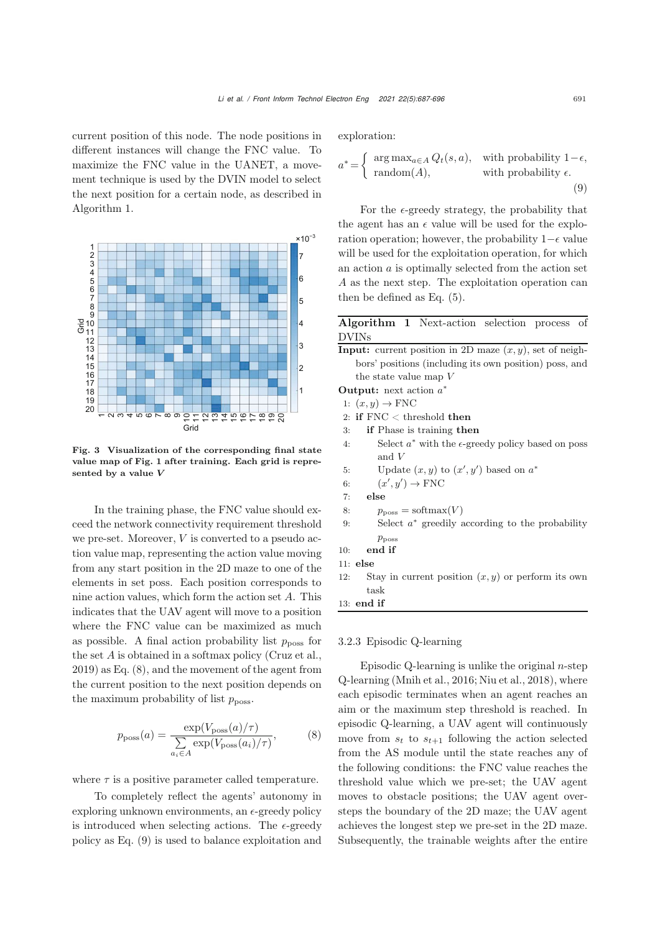current position of this node. The node positions in different instances will change the FNC value. To maximize the FNC value in the UANET, a movement technique is used by the DVIN model to select the next position for a certain node, as described in Algorithm [1.](#page-4-1)



<span id="page-4-0"></span>Fig. 3 Visualization of the corresponding final state value map of Fig. [1](#page-2-0) after training. Each grid is represented by a value *V*

In the training phase, the FNC value should exceed the network connectivity requirement threshold we pre-set. Moreover,  $V$  is converted to a pseudo action value map, representing the action value moving from any start position in the 2D maze to one of the elements in set poss. Each position corresponds to nine action values, which form the action set A. This indicates that the UAV agent will move to a position where the FNC value can be maximized as much as possible. A final action probability list  $p_{\text{poss}}$  for the set A is obtained in a softmax policy [\(Cruz et al.](#page-8-8), [2019](#page-8-8)) as Eq. [\(8\)](#page-4-2), and the movement of the agent from the current position to the next position depends on the maximum probability of list  $p_{\text{poss}}$ .

$$
p_{\text{poss}}(a) = \frac{\exp(V_{\text{poss}}(a)/\tau)}{\sum_{a_i \in A} \exp(V_{\text{poss}}(a_i)/\tau)},\tag{8}
$$

where  $\tau$  is a positive parameter called temperature.

To completely reflect the agents' autonomy in exploring unknown environments, an  $\epsilon$ -greedy policy is introduced when selecting actions. The  $\epsilon$ -greedy policy as Eq. [\(9\)](#page-4-3) is used to balance exploitation and exploration:

<span id="page-4-3"></span>
$$
a^* = \begin{cases} \arg \max_{a \in A} Q_t(s, a), & \text{with probability } 1 - \epsilon, \\ \text{random}(A), & \text{with probability } \epsilon. \end{cases}
$$
(9)

For the  $\epsilon$ -greedy strategy, the probability that the agent has an  $\epsilon$  value will be used for the exploration operation; however, the probability  $1-\epsilon$  value will be used for the exploitation operation, for which an action  $a$  is optimally selected from the action set A as the next step. The exploitation operation can then be defined as Eq. [\(5\)](#page-1-3).

## <span id="page-4-1"></span>Algorithm 1 Next-action selection process of DVINs

**Input:** current position in 2D maze  $(x, y)$ , set of neighbors' positions (including its own position) poss, and the state value map V Output: next action a<sup>∗</sup> 1:  $(x, y) \rightarrow \text{FNC}$ 2: if FNC < threshold then 3: if Phase is training then

4: Select  $a^*$  with the  $\epsilon$ -greedy policy based on poss and V

5: Update  $(x, y)$  to  $(x', y')$  based on  $a^*$ 

6:  $(x', y') \to \text{FNC}$ 

```
7: else
```
- 8:  $p_{\text{poss}} = \text{softmax}(V)$
- 9: Select  $a^*$  greedily according to the probability  $p_{\text{poss}}$
- 10: end if
- 11: else
- 12: Stay in current position  $(x, y)$  or perform its own task

13: end if

## 3.2.3 Episodic Q-learning

<span id="page-4-2"></span>Episodic Q-learning is unlike the original  $n$ -step Q-learning [\(Mnih et al., 2016;](#page-9-11) [Niu et al.](#page-9-7), [2018\)](#page-9-7), where each episodic terminates when an agent reaches an aim or the maximum step threshold is reached. In episodic Q-learning, a UAV agent will continuously move from  $s_t$  to  $s_{t+1}$  following the action selected from the AS module until the state reaches any of the following conditions: the FNC value reaches the threshold value which we pre-set; the UAV agent moves to obstacle positions; the UAV agent oversteps the boundary of the 2D maze; the UAV agent achieves the longest step we pre-set in the 2D maze. Subsequently, the trainable weights after the entire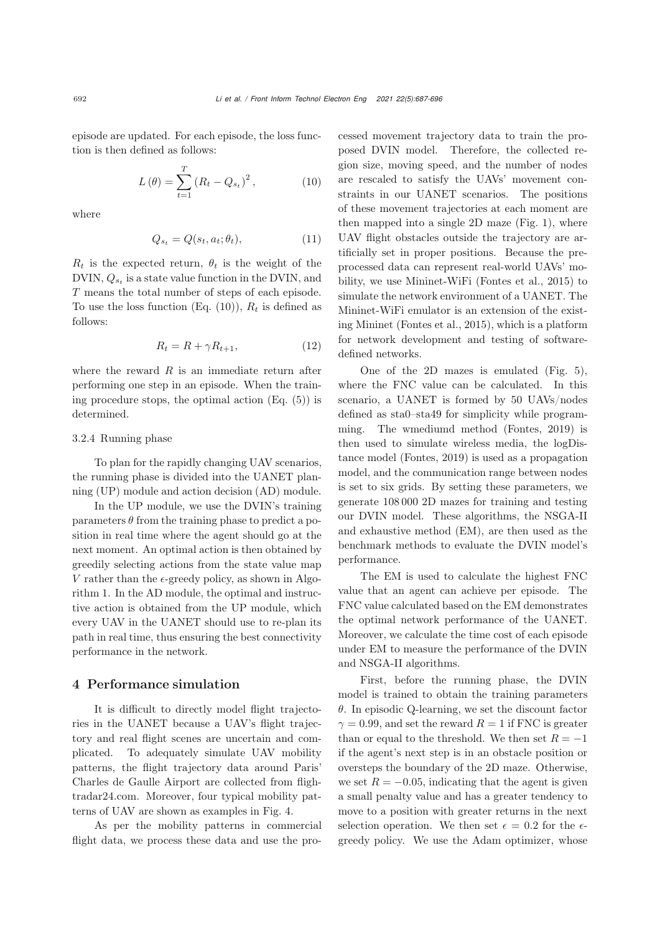episode are updated. For each episode, the loss function is then defined as follows:

$$
L(\theta) = \sum_{t=1}^{T} (R_t - Q_{s_t})^2, \qquad (10)
$$

where

$$
Q_{s_t} = Q(s_t, a_t; \theta_t), \tag{11}
$$

 $R_t$  is the expected return,  $\theta_t$  is the weight of the DVIN, Q*s<sup>t</sup>* is a state value function in the DVIN, and T means the total number of steps of each episode. To use the loss function (Eq.  $(10)$ ),  $R_t$  is defined as follows:

$$
R_t = R + \gamma R_{t+1},\tag{12}
$$

where the reward  $R$  is an immediate return after performing one step in an episode. When the training procedure stops, the optimal action (Eq. [\(5\)](#page-1-3)) is determined.

#### 3.2.4 Running phase

To plan for the rapidly changing UAV scenarios, the running phase is divided into the UANET planning (UP) module and action decision (AD) module.

In the UP module, we use the DVIN's training parameters  $\theta$  from the training phase to predict a position in real time where the agent should go at the next moment. An optimal action is then obtained by greedily selecting actions from the state value map V rather than the  $\epsilon$ -greedy policy, as shown in Algorithm [1.](#page-4-1) In the AD module, the optimal and instructive action is obtained from the UP module, which every UAV in the UANET should use to re-plan its path in real time, thus ensuring the best connectivity performance in the network.

# 4 Performance simulation

It is difficult to directly model flight trajectories in the UANET because a UAV's flight trajectory and real flight scenes are uncertain and complicated. To adequately simulate UAV mobility patterns, the flight trajectory data around Paris' Charles de Gaulle Airport are collected from flightradar24.com. Moreover, four typical mobility patterns of UAV are shown as examples in Fig. [4.](#page-6-0)

As per the mobility patterns in commercial flight data, we process these data and use the pro<span id="page-5-0"></span>cessed movement trajectory data to train the proposed DVIN model. Therefore, the collected region size, moving speed, and the number of nodes are rescaled to satisfy the UAVs' movement constraints in our UANET scenarios. The positions of these movement trajectories at each moment are then mapped into a single 2D maze (Fig. [1\)](#page-2-0), where UAV flight obstacles outside the trajectory are artificially set in proper positions. Because the preprocessed data can represent real-world UAVs' mobility, we use Mininet-WiFi [\(Fontes et al.](#page-8-9), [2015\)](#page-8-9) to simulate the network environment of a UANET. The Mininet-WiFi emulator is an extension of the existing Mininet [\(Fontes et al., 2015](#page-8-9)), which is a platform for network development and testing of softwaredefined networks.

One of the 2D mazes is emulated (Fig. [5\)](#page-7-0), where the FNC value can be calculated. In this scenario, a UANET is formed by 50 UAVs/nodes defined as sta0–sta49 for simplicity while programming. The wmediumd method [\(Fontes](#page-8-10), [2019](#page-8-10)) is then used to simulate wireless media, the logDistance model [\(Fontes, 2019\)](#page-8-10) is used as a propagation model, and the communication range between nodes is set to six grids. By setting these parameters, we generate 108 000 2D mazes for training and testing our DVIN model. These algorithms, the NSGA-II and exhaustive method (EM), are then used as the benchmark methods to evaluate the DVIN model's performance.

The EM is used to calculate the highest FNC value that an agent can achieve per episode. The FNC value calculated based on the EM demonstrates the optimal network performance of the UANET. Moreover, we calculate the time cost of each episode under EM to measure the performance of the DVIN and NSGA-II algorithms.

First, before the running phase, the DVIN model is trained to obtain the training parameters  $\theta$ . In episodic Q-learning, we set the discount factor  $\gamma = 0.99$ , and set the reward  $R = 1$  if FNC is greater than or equal to the threshold. We then set  $R = -1$ if the agent's next step is in an obstacle position or oversteps the boundary of the 2D maze. Otherwise, we set  $R = -0.05$ , indicating that the agent is given a small penalty value and has a greater tendency to move to a position with greater returns in the next selection operation. We then set  $\epsilon = 0.2$  for the  $\epsilon$ greedy policy. We use the Adam optimizer, whose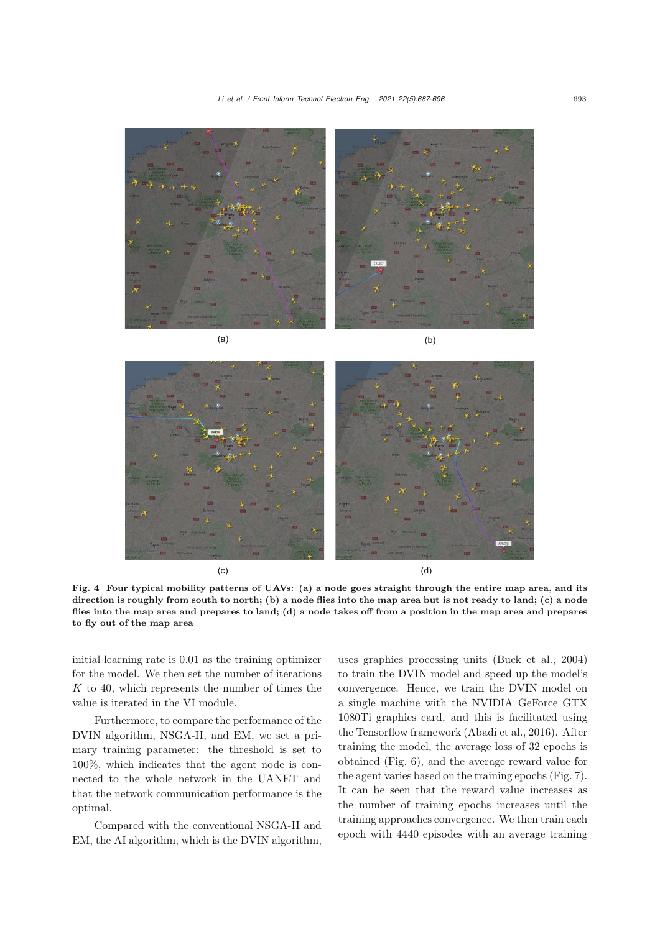*Li et al. / Front Inform Technol Electron Eng 2021 22(5):687-696* <sup>693</sup>





<span id="page-6-0"></span>Fig. 4 Four typical mobility patterns of UAVs: (a) a node goes straight through the entire map area, and its direction is roughly from south to north; (b) a node flies into the map area but is not ready to land; (c) a node flies into the map area and prepares to land; (d) a node takes off from a position in the map area and prepares to fly out of the map area

initial learning rate is 0.01 as the training optimizer for the model. We then set the number of iterations  $K$  to 40, which represents the number of times the value is iterated in the VI module.

Furthermore, to compare the performance of the DVIN algorithm, NSGA-II, and EM, we set a primary training parameter: the threshold is set to 100%, which indicates that the agent node is connected to the whole network in the UANET and that the network communication performance is the optimal.

Compared with the conventional NSGA-II and EM, the AI algorithm, which is the DVIN algorithm,

uses graphics processing units [\(Buck et al., 2004](#page-8-11)) to train the DVIN model and speed up the model's convergence. Hence, we train the DVIN model on a single machine with the NVIDIA GeForce GTX 1080Ti graphics card, and this is facilitated using the Tensorflow framework [\(Abadi et al., 2016\)](#page-8-12). After training the model, the average loss of 32 epochs is obtained (Fig. [6\)](#page-7-1), and the average reward value for the agent varies based on the training epochs (Fig. [7\)](#page-7-2). It can be seen that the reward value increases as the number of training epochs increases until the training approaches convergence. We then train each epoch with 4440 episodes with an average training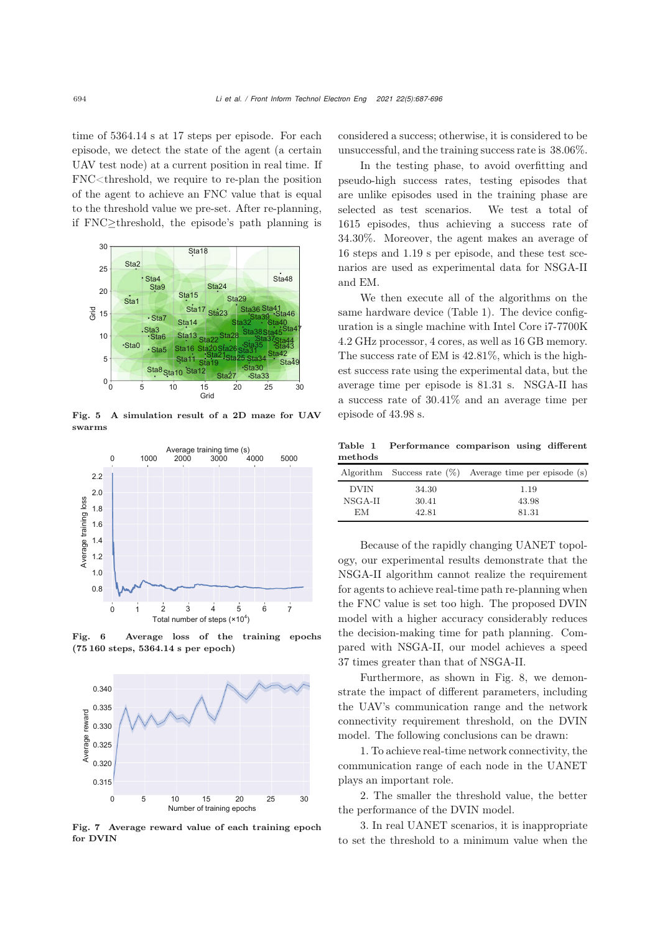time of 5364.14 s at 17 steps per episode. For each episode, we detect the state of the agent (a certain UAV test node) at a current position in real time. If FNC<threshold, we require to re-plan the position of the agent to achieve an FNC value that is equal to the threshold value we pre-set. After re-planning, if FNC≥threshold, the episode's path planning is



<span id="page-7-0"></span>Fig. 5 A simulation result of a 2D maze for UAV swarms



<span id="page-7-1"></span>Fig. 6 Average loss of the training epochs (75 160 steps, 5364.14 s per epoch)



<span id="page-7-2"></span>Fig. 7 Average reward value of each training epoch for DVIN

considered a success; otherwise, it is considered to be unsuccessful, and the training success rate is 38.06%.

In the testing phase, to avoid overfitting and pseudo-high success rates, testing episodes that are unlike episodes used in the training phase are selected as test scenarios. We test a total of 1615 episodes, thus achieving a success rate of 34.30%. Moreover, the agent makes an average of 16 steps and 1.19 s per episode, and these test scenarios are used as experimental data for NSGA-II and EM.

We then execute all of the algorithms on the same hardware device (Table [1\)](#page-7-3). The device configuration is a single machine with Intel Core i7-7700K 4.2 GHz processor, 4 cores, as well as 16 GB memory. The success rate of EM is 42.81%, which is the highest success rate using the experimental data, but the average time per episode is 81.31 s. NSGA-II has a success rate of 30.41% and an average time per episode of 43.98 s.

<span id="page-7-3"></span>Table 1 Performance comparison using different methods

|             |       | Algorithm Success rate $(\%)$ Average time per episode (s) |
|-------------|-------|------------------------------------------------------------|
| <b>DVIN</b> | 34.30 | 1.19                                                       |
| NSGA-II     | 30.41 | 43.98                                                      |
| ЕM          | 42.81 | 81.31                                                      |

Because of the rapidly changing UANET topology, our experimental results demonstrate that the NSGA-II algorithm cannot realize the requirement for agents to achieve real-time path re-planning when the FNC value is set too high. The proposed DVIN model with a higher accuracy considerably reduces the decision-making time for path planning. Compared with NSGA-II, our model achieves a speed 37 times greater than that of NSGA-II.

Furthermore, as shown in Fig. [8,](#page-8-13) we demonstrate the impact of different parameters, including the UAV's communication range and the network connectivity requirement threshold, on the DVIN model. The following conclusions can be drawn:

1. To achieve real-time network connectivity, the communication range of each node in the UANET plays an important role.

2. The smaller the threshold value, the better the performance of the DVIN model.

3. In real UANET scenarios, it is inappropriate to set the threshold to a minimum value when the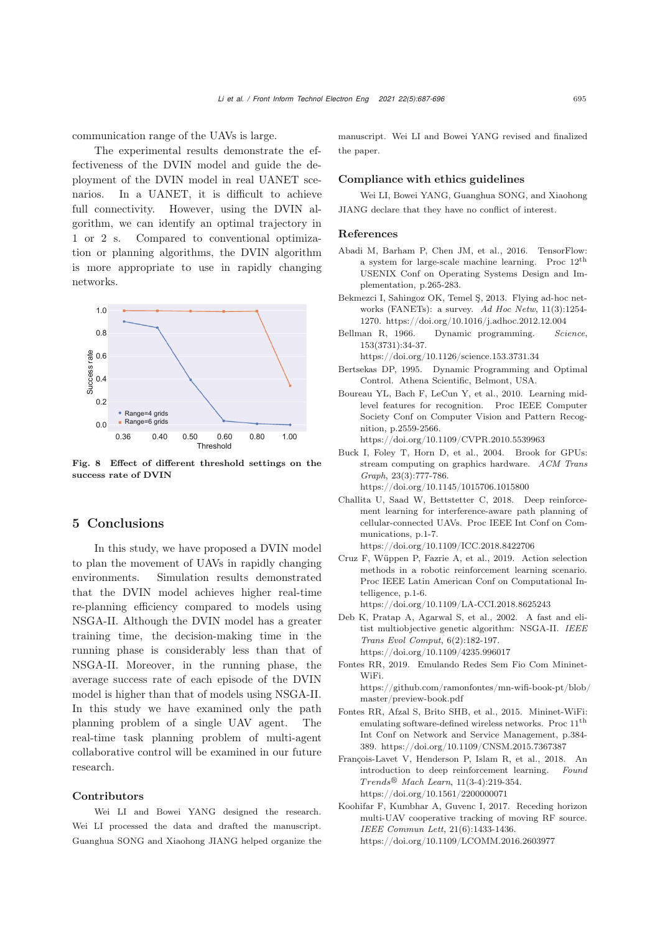communication range of the UAVs is large.

The experimental results demonstrate the effectiveness of the DVIN model and guide the deployment of the DVIN model in real UANET scenarios. In a UANET, it is difficult to achieve full connectivity. However, using the DVIN algorithm, we can identify an optimal trajectory in 1 or 2 s. Compared to conventional optimization or planning algorithms, the DVIN algorithm is more appropriate to use in rapidly changing networks.



<span id="page-8-13"></span>Fig. 8 Effect of different threshold settings on the success rate of DVIN

## 5 Conclusions

In this study, we have proposed a DVIN model to plan the movement of UAVs in rapidly changing environments. Simulation results demonstrated that the DVIN model achieves higher real-time re-planning efficiency compared to models using NSGA-II. Although the DVIN model has a greater training time, the decision-making time in the running phase is considerably less than that of NSGA-II. Moreover, in the running phase, the average success rate of each episode of the DVIN model is higher than that of models using NSGA-II. In this study we have examined only the path planning problem of a single UAV agent. The real-time task planning problem of multi-agent collaborative control will be examined in our future research.

#### Contributors

Wei LI and Bowei YANG designed the research. Wei LI processed the data and drafted the manuscript. Guanghua SONG and Xiaohong JIANG helped organize the manuscript. Wei LI and Bowei YANG revised and finalized the paper.

#### Compliance with ethics guidelines

Wei LI, Bowei YANG, Guanghua SONG, and Xiaohong JIANG declare that they have no conflict of interest.

#### References

- <span id="page-8-12"></span>Abadi M, Barham P, Chen JM, et al., 2016. TensorFlow: a system for large-scale machine learning. Proc 12th USENIX Conf on Operating Systems Design and Implementation, p.265-283.
- <span id="page-8-0"></span>Bekmezci I, Sahingoz OK, Temel Ş, 2013. Flying ad-hoc networks (FANETs): a survey. *Ad Hoc Netw*, 11(3):1254- 1270. https://doi.org/10.1016/j.adhoc.2012.12.004
- <span id="page-8-4"></span>Bellman R, 1966. Dynamic programming. *Science*, 153(3731):34-37.

https://doi.org/10.1126/science.153.3731.34

- <span id="page-8-5"></span>Bertsekas DP, 1995. Dynamic Programming and Optimal Control. Athena Scientific, Belmont, USA.
- <span id="page-8-6"></span>Boureau YL, Bach F, LeCun Y, et al., 2010. Learning midlevel features for recognition. Proc IEEE Computer Society Conf on Computer Vision and Pattern Recognition, p.2559-2566.

https://doi.org/10.1109/CVPR.2010.5539963

- <span id="page-8-11"></span>Buck I, Foley T, Horn D, et al., 2004. Brook for GPUs: stream computing on graphics hardware. *ACM Trans Graph*, 23(3):777-786. https://doi.org/10.1145/1015706.1015800
- <span id="page-8-7"></span>Challita U, Saad W, Bettstetter C, 2018. Deep reinforcement learning for interference-aware path planning of cellular-connected UAVs. Proc IEEE Int Conf on Communications, p.1-7. https://doi.org/10.1109/ICC.2018.8422706
- <span id="page-8-8"></span>Cruz F, Wüppen P, Fazrie A, et al., 2019. Action selection methods in a robotic reinforcement learning scenario. Proc IEEE Latin American Conf on Computational Intelligence, p.1-6.

https://doi.org/10.1109/LA-CCI.2018.8625243

- <span id="page-8-2"></span>Deb K, Pratap A, Agarwal S, et al., 2002. A fast and elitist multiobjective genetic algorithm: NSGA-II. *IEEE Trans Evol Comput*, 6(2):182-197. https://doi.org/10.1109/4235.996017
- <span id="page-8-10"></span>Fontes RR, 2019. Emulando Redes Sem Fio Com Mininet-WiFi.

https://github.com/ramonfontes/mn-wifi-book-pt/blob/ master/preview-book.pdf

- <span id="page-8-9"></span>Fontes RR, Afzal S, Brito SHB, et al., 2015. Mininet-WiFi: emulating software-defined wireless networks. Proc 11th Int Conf on Network and Service Management, p.384- 389. https://doi.org/10.1109/CNSM.2015.7367387
- <span id="page-8-3"></span>François-Lavet V, Henderson P, Islam R, et al., 2018. An introduction to deep reinforcement learning. *Found T rends*- *Mach Learn*, 11(3-4):219-354. https://doi.org/10.1561/2200000071
- <span id="page-8-1"></span>Koohifar F, Kumbhar A, Guvenc I, 2017. Receding horizon multi-UAV cooperative tracking of moving RF source. *IEEE Commun Lett*, 21(6):1433-1436. https://doi.org/10.1109/LCOMM.2016.2603977